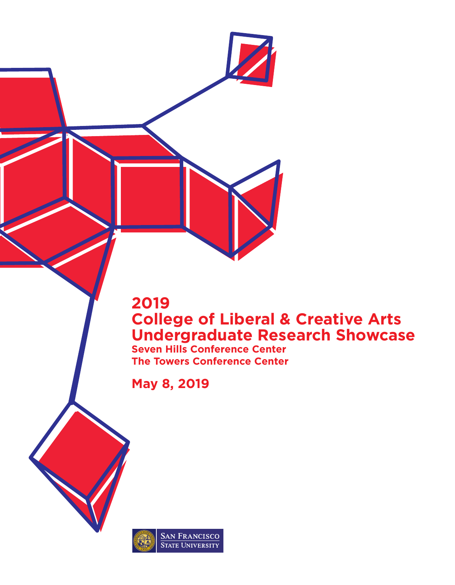# **2019 College of Liberal & Creative Arts Undergraduate Research Showcase Seven Hills Conference Center**

**The Towers Conference Center**

**May 8, 2019**

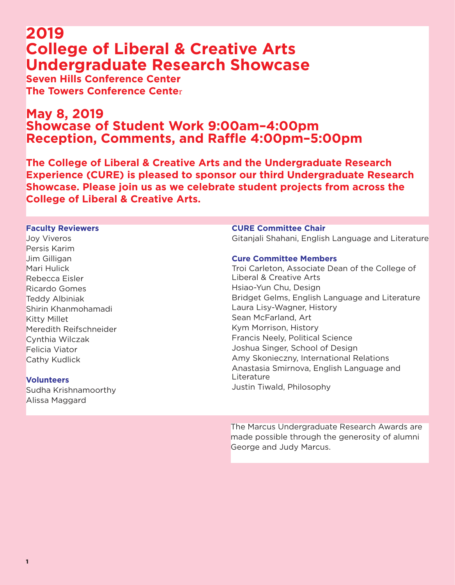# **2019 College of Liberal & Creative Arts Undergraduate Research Showcase**

**Seven Hills Conference Center The Towers Conference Cente**r

### **May 8, 2019 Showcase of Student Work 9:00am–4:00pm Reception, Comments, and Raffle 4:00pm–5:00pm**

**The College of Liberal & Creative Arts and the Undergraduate Research Experience (CURE) is pleased to sponsor our third Undergraduate Research Showcase. Please join us as we celebrate student projects from across the College of Liberal & Creative Arts.**

### **Faculty Reviewers**

Joy Viveros Persis Karim Jim Gilligan Mari Hulick Rebecca Eisler Ricardo Gomes Teddy Albiniak Shirin Khanmohamadi Kitty Millet Meredith Reifschneider Cynthia Wilczak Felicia Viator Cathy Kudlick

### **Volunteers**

Sudha Krishnamoorthy Alissa Maggard

### **CURE Committee Chair**

Gitanjali Shahani, English Language and Literature

### **Cure Committee Members**

Troi Carleton, Associate Dean of the College of Liberal & Creative Arts Hsiao-Yun Chu, Design Bridget Gelms, English Language and Literature Laura Lisy-Wagner, History Sean McFarland, Art Kym Morrison, History Francis Neely, Political Science Joshua Singer, School of Design Amy Skonieczny, International Relations Anastasia Smirnova, English Language and Literature Justin Tiwald, Philosophy

The Marcus Undergraduate Research Awards are made possible through the generosity of alumni George and Judy Marcus.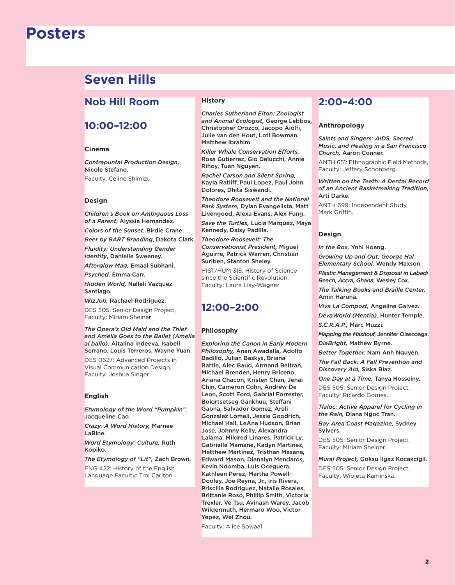# **Posters**

# **Seven Hills**

### **Nob Hill Room**

### **10:00–12:00**

### **Cinema**

*Contrapuntal Production Design,*  Nicole Stefano.

Faculty: Celine Shimizu

### **Design**

*Children's Book on Ambiguous Loss of a Parent*, Alyssia Hernandez. *Colors of the Sunset*, Birdie Crane.

*Beer by BART Branding*, Dakota Clark. *Fluidity: Understanding Gender Identity*, Danielle Sweeney.

*Afterglow Mag,* Emaal Subhani.

*Psyched,* Emma Carr.

*Hidden World,* Nalleli Vazquez Santiago.

*WizJob,* Rachael Rodriguez.

DES 505: Senior Design Project, Faculty: Miriam Sheiner

*The Opera's Old Maid and the Thief and Amelia Goes to the Ballet (Amelia al ballo).* Aitalina Indeeva, Isabell Serrano, Louis Terreros, Wayne Yuan.

DES 0627: Advanced Projects in Visual Communication Design, Faculty: Joshua Singer

### **English**

*Etymology of the Word "Pumpkin",*  Jacqueline Cao.

*Crazy: A Word History,* Marnee LaBine.

*Word Etymology: Culture,* Ruth Kopiko.

*The Etymology of "Lit",* Zach Brown. ENG 422: History of the English Language Faculty: Troi Carlton

### **History**

*Charles Sutherland Elton: Zoologist and Animal Ecologist,* George Lebbos, Christopher Orozco, Jacopo Aiolfi, Julie van den Hout, Loti Bowman, Matthew Ibrahim.

*Killer Whale Conservation Efforts,*  Rosa Gutierrez, Gio Delucchi, Annie Rihoy, Tuan Nguyen.

*Rachel Carson and Silent Spring,*  Kayla Ratliff, Paul Lopez, Paul John Dolores, Dhita Siswandi.

*Theodore Roosevelt and the National Park System,* Dylan Evangelista, Matt Livengood, Alexa Evans, Alex Fung.

*Save the Turtles,* Lucia Marquez, Maya Kennedy, Daisy Padilla.

*Theodore Roosevelt: The Conservationist President,* Miguel Aguirre, Patrick Warren, Christian Suriben, Stanton Sheley.

HIST/HUM 315: History of Science since the Scientific Revolution, Faculty: Laura Lisy-Wagner

### **12:00–2:00**

### **Philosophy**

*Exploring the Canon in Early Modern Philosophy,* Anan Awadalla, Adolfo Badillo, Julian Baskys, Briana Battle, Alec Baud, Armand Beltran, Michael Brenden, Henry Briceno, Ariana Chacon, Kristen Chan, Jenai Chin, Cameron Cohn, Andrew De Leon, Scott Ford, Gabrial Forrester, Bolortsetseg Gankhuu, Steffani Gaona, Salvador Gomez, Areli Gonzalez Lomeli, Jessie Goodrich, Michael Hall, LeAna Hudson, Brian Jose, Johnny Kelly, Alexandra Lalama, Mildred Linares, Patrick Ly, Gabrielle Mamane, Kadyn Martinez, Matthew Martinez, Tristhan Masana, Edward Mason, Dianalyn Mendaros, Kevin Ndomba, Luis Oceguera, Kathleen Perez, Martha Powell-Dooley, Joe Reyna, Jr., Iris Rivera, Priscilla Rodriguez, Natalie Rosales, Brittanie Roso, Phillip Smith, Victoria Trexler, Ve Tsu, Avinash Warey, Jacob Wildermuth, Hermaro Woo, Victor Yepez, Wei Zhou.

Faculty: Alice Sowaal

### **2:00–4:00**

### **Anthropology**

*Saints and Singers: AIDS, Sacred Music, and Healing in a San Francisco Church,* Aaron Conner.

ANTH 651: Ethnographic Field Methods, Faculty: Jeffery Schonberg.

*Written on the Teeth: A Dental Record of an Ancient Basketmaking Tradition,*  Arti Darke.

ANTH 699: Independent Study, Mark Griffin.

### **Design**

*In the Box,* Ynhi Hoang.

*Growing Up and Out: George Hal Elementary School,* Wendy Maxson.

*Plastic Management & Disposal in Labadi Beach, Accra, Ghana,* Wesley Cox.

*The Talking Books and Braille Center,*  Amin Haruna.

*Viva La Compost,* Angeline Galvez.

*DevaWorld (Mentia),* Hunter Temple. *S.C.R.A.P.,* Marc Muzzi.

*Mapping the Mashouf,* Jennifer Olascoaga. *DiaBright,* Mathew Byrne.

*Better Together,* Nam Anh Nguyen.

*The Fall Back: A Fall Prevention and Discovery Aid,* Siska Blaz.

*One Day at a Time,* Tanya Hosseiny. DES 505: Senior Design Project, Faculty: Ricardo Gomes.

*Tlaloc: Active Apparel for Cycling in the Rain,* Diana Ngoc Tran.

*Bay Area Coast Magazine,* Sydney Sylvers.

DES 505: Senior Design Project, Faculty: Miriam Sheiner.

#### *Mural Project,* Goksu Ilgaz Kocakcigil.

DES 505: Senior Design Project, Faculty: Wioleta Kaminska.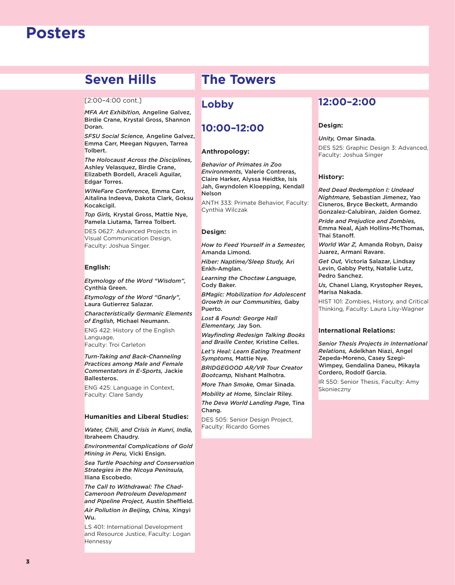# **Posters**

## **Seven Hills The Towers**

### [2:00–4:00 cont.]

*MFA Art Exhibition,* Angeline Galvez, Birdie Crane, Krystal Gross, Shannon Doran.

*SFSU Social Science,* Angeline Galvez, Emma Carr, Meegan Nguyen, Tarrea Tolbert.

*The Holocaust Across the Disciplines,*  Ashley Velasquez, Birdie Crane, Elizabeth Bordell, Araceli Aguilar, Edgar Torres.

*WINeFare Conference,* Emma Carr, Aitalina Indeeva, Dakota Clark, Goksu Kocakcigil.

*Top Girls,* Krystal Gross, Mattie Nye, Pamela Liutama, Tarrea Tolbert.

DES 0627: Advanced Projects in Visual Communication Design, Faculty: Joshua Singer.

### **English:**

*Etymology of the Word "Wisdom",*  Cynthia Green.

*Etymology of the Word "Gnarly",*  Laura Gutierrez Salazar.

*Characteristically Germanic Elements of English,* Michael Neumann.

ENG 422: History of the English Language,

Faculty: Troi Carleton

#### *Turn-Taking and Back-Channeling Practices among Male and Female Commentators in E-Sports,* Jackie Ballesteros.

ENG 425: Language in Context, Faculty: Clare Sandy

### **Humanities and Liberal Studies:**

*Water, Chili, and Crisis in Kunri, India,*  Ibraheem Chaudry.

*Environmental Complications of Gold Mining in Peru,* Vicki Ensign.

*Sea Turtle Poaching and Conservation Strategies in the Nicoya Peninsula,*  Iliana Escobedo.

*The Call to Withdrawal: The Chad-Cameroon Petroleum Development and Pipeline Project,* Austin Sheffield. *Air Pollution in Beijing, China,* Xingyi Wu.

LS 401: International Development and Resource Justice, Faculty: Logan Hennessy

### **Lobby**

### **10:00–12:00**

#### **Anthropology:**

*Behavior of Primates in Zoo Environments,* Valerie Contreras, Claire Harker, Alyssa Heidtke, Isis Jah, Gwyndolen Kloepping, Kendall Nelson

ANTH 333: Primate Behavior, Faculty: Cynthia Wilczak

#### **Design:**

*How to Feed Yourself in a Semester,*  Amanda Limond.

*Hiber: Naptime/Sleep Study,* Ari Enkh-Amglan.

*Learning the Choctaw Language,*  Cody Baker.

*BMagic: Mobilization for Adolescent Growth in our Communities,* Gaby Puerto.

*Lost & Found: George Hall Elementary,* Jay Son.

*Wayfinding Redesign Talking Books and Braille Center,* Kristine Celles.

*Let's Heal: Learn Eating Treatment Symptoms,* Mattie Nye.

*BRIDGEGOOD AR/VR Tour Creator Bootcamp,* Nishant Malhotra.

*More Than Smoke,* Omar Sinada.

*Mobility at Home,* Sinclair Riley. *The Deva World Landing Page,* Tina Chang.

DES 505: Senior Design Project, Faculty: Ricardo Gomes

### **12:00–2:00**

### **Design:**

### *Unity,* Omar Sinada.

DES 525: Graphic Design 3: Advanced, Faculty: Joshua Singer

#### **History:**

*Red Dead Redemption I: Undead Nightmare,* Sebastian Jimenez, Yao Cisneros, Bryce Beckett, Armando Gonzalez-Calubiran, Jaiden Gomez.

*Pride and Prejudice and Zombies,*  Emma Neal, Ajah Hollins-McThomas, Thai Stanoff.

*World War Z,* Amanda Robyn, Daisy Juarez, Armani Ravare.

*Get Out,* Victoria Salazar, Lindsay Levin, Gabby Petty, Natalie Lutz, Pedro Sanchez.

*Us,* Chanel Liang, Krystopher Reyes, Marisa Nakada.

HIST 101: Zombies, History, and Critical Thinking, Faculty: Laura Lisy-Wagner

#### **International Relations:**

*Senior Thesis Projects in International Relations,* Adelkhan Niazi, Angel Zepeda-Moreno, Casey Szegi-Wimpey, Gendalina Daneu, Mikayla Cordero, Rodolf Garcia.

IR 550: Senior Thesis, Faculty: Amy Skonieczny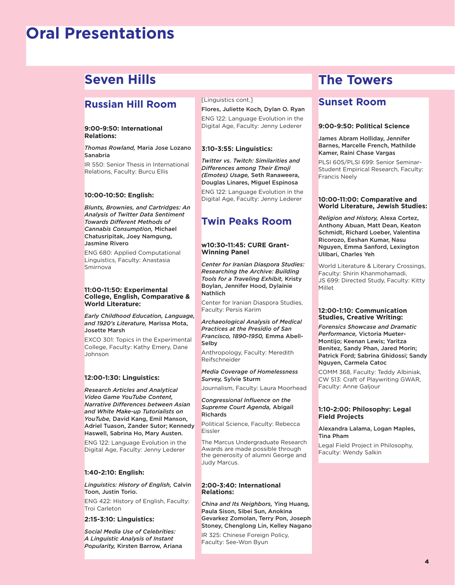# **Oral Presentations**

# **Seven Hills**

### **Russian Hill Room**

### **9:00-9:50: International Relations:**

*Thomas Rowland,* Maria Jose Lozano Sanabria

IR 550: Senior Thesis in International Relations, Faculty: Burcu Ellis

### **10:00-10:50: English:**

*Blunts, Brownies, and Cartridges: An Analysis of Twitter Data Sentiment Towards Different Methods of Cannabis Consumption,* Michael Chatusripitak, Joey Namgung, Jasmine Rivero

ENG 680: Applied Computational Linguistics, Faculty: Anastasia Smirnova

#### **11:00-11:50: Experimental College, English, Comparative & World Literature:**

*Early Childhood Education, Language, and 1920's Literature,* Marissa Mota, Josette Marsh

EXCO 301: Topics in the Experimental College, Faculty: Kathy Emery, Dane Johnson

### **12:00-1:30: Linguistics:**

*Research Articles and Analytical Video Game YouTube Content, Narrative Differences between Asian and White Make-up Tutorialists on YouTube,* David Kang, Emil Manson, Adriel Tuason, Zander Sutor; Kennedy Haswell, Sabrina Ho, Mary Austen.

ENG 122: Language Evolution in the Digital Age, Faculty: Jenny Lederer

### **1:40-2:10: English:**

#### *Linguistics: History of English,* Calvin Toon, Justin Torio.

ENG 422: History of English, Faculty: Troi Carleton

### **2:15-3:10: Linguistics:**

*Social Media Use of Celebrities: A Linguistic Analysis of Instant Popularity,* Kirsten Barrow, Ariana

### [Linguistics cont.]

Flores, Juliette Koch, Dylan O. Ryan ENG 122: Language Evolution in the Digital Age, Faculty: Jenny Lederer

### **3:10-3:55: Linguistics:**

*Twitter vs. Twitch: Similarities and Differences among Their Emoji (Emotes) Usage,* Seth Ranaweera, Douglas Linares, Miguel Espinosa ENG 122: Language Evolution in the Digital Age, Faculty: Jenny Lederer

### **Twin Peaks Room**

### **w10:30-11:45: CURE Grant-Winning Panel**

*Center for Iranian Diaspora Studies: Researching the Archive: Building Tools for a Traveling Exhibit,* Kristy Boylan, Jennifer Hood, Dylainie Nathlich

Center for Iranian Diaspora Studies, Faculty: Persis Karim

#### *Archaeological Analysis of Medical Practices at the Presidio of San Francisco, 1890-1950,* Emma Abell-Selby

Anthropology, Faculty: Meredith Reifschneider

#### *Media Coverage of Homelessness Survey,* Sylvie Sturm

Journalism, Faculty: Laura Moorhead

#### *Congressional Influence on the Supreme Court Agenda,* Abigail Richards

Political Science, Faculty: Rebecca Eissler

The Marcus Undergraduate Research Awards are made possible through the generosity of alumni George and Judy Marcus.

#### **2:00-3:40: International Relations:**

*China and Its Neighbors,* Ying Huang, Paula Sison, Sibei Sun, Anokina Gevarkez Zomolan, Terry Pon, Joseph Stoney, Chenglong Lin, Kelley Nagano

IR 325: Chinese Foreign Policy, Faculty: See-Won Byun

### **The Towers**

### **Sunset Room**

#### **9:00-9:50: Political Science**

#### James Abram Holliday, Jennifer Barnes, Marcelle French, Mathilde Kamer, Raini Chase Vargas

PLSI 605/PLSI 699: Senior Seminar-Student Empirical Research, Faculty: Francis Neely

### **10:00-11:00: Comparative and World Literature, Jewish Studies:**

*Religion and History,* Alexa Cortez, Anthony Abuan, Matt Dean, Keaton Schmidt, Richard Loeber, Valentina Ricorozo, Eeshan Kumar, Nasu Nguyen, Emma Sanford, Lexington Ulibari, Charles Yeh

World Literature & Literary Crossings, Faculty: Shirin Khanmohamadi, JS 699: Directed Study, Faculty: Kitty Millet

#### **12:00-1:10: Communication Studies, Creative Writing:**

*Forensics Showcase and Dramatic Performance,* Victoria Mueter-Montijo; Keenan Lewis; Yaritza Benitez, Sandy Phan, Jared Morin; Patrick Ford; Sabrina Ghidossi; Sandy Nguyen, Carmela Catoc

COMM 368, Faculty: Teddy Albiniak, CW 513: Craft of Playwriting GWAR, Faculty: Anne Galjour

### **1:10-2:00: Philosophy: Legal Field Projects**

#### Alexandra Lalama, Logan Maples, Tina Pham

Legal Field Project in Philosophy, Faculty: Wendy Salkin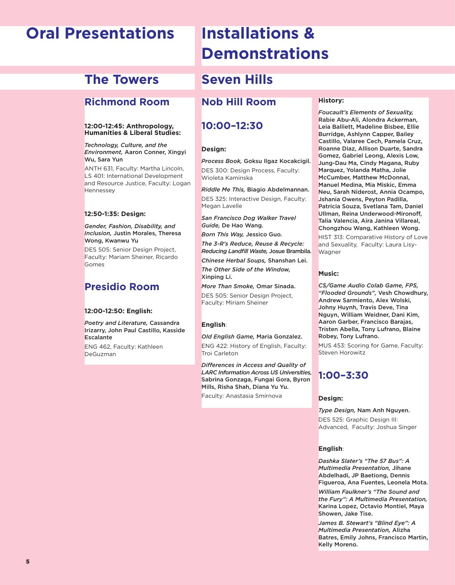# **Oral Presentations**

## **The Towers**

### **Richmond Room**

### **12:00-12:45: Anthropology, Humanities & Liberal Studies:**

#### *Technology, Culture, and the Environment,* Aaron Conner, Xingyi Wu, Sara Yun

ANTH 631, Faculty: Martha Lincoln, LS 401: International Development and Resource Justice, Faculty: Logan **Hennessey** 

### **12:50-1:35: Design:**

### *Gender, Fashion, Disability, and Inclusion,* Justin Morales, Theresa Wong, Kwanwu Yu

DES 505: Senior Design Project, Faculty: Mariam Sheiner, Ricardo Gomes

### **Presidio Room**

### **12:00-12:50: English:**

*Poetry and Literature,* Cassandra Irizarry, John Paul Castillo, Kasside Escalante

ENG 462, Faculty: Kathleen DeGuzman

# **Installations & Demonstrations**

# **Seven Hills**

### **Nob Hill Room**

### **10:00–12:30**

### **Design:**

*Process Book,* Goksu Ilgaz Kocakcigil. DES 300: Design Process, Faculty: Wioleta Kaminska

*Riddle Me This,* Biagio Abdelmannan. DES 325: Interactive Design, Faculty: Megan Lavelle

*San Francisco Dog Walker Travel Guide,* De Hao Wang.

*Born This Way,* Jessico Guo.

*The 3-R's Reduce, Reuse & Recycle: Reducing Landfill Waste,* Josue Brambila.

*Chinese Herbal Soups,* Shanshan Lei. *The Other Side of the Window,*  Xinping Li.

*More Than Smoke,* Omar Sinada.

DES 505: Senior Design Project, Faculty: Miriam Sheiner

### **English**:

### *Old English Game,* Maria Gonzalez.

ENG 422: History of English, Faculty: Troi Carleton

*Differences in Access and Quality of LARC Information Across US Universities,*  Sabrina Gonzaga, Fungai Gora, Byron Mills, Risha Shah, Diana Yu Yu. Faculty: Anastasia Smirnova

### **History:**

*Foucault's Elements of Sexuality,*  Rabie Abu-Ali, Alondra Ackerman, Leia Balliett, Madeline Bisbee, Ellie Burridge, Ashlynn Capper, Bailey Castillo, Valaree Cech, Pamela Cruz, Roanne Diaz, Allison Duarte, Sandra Gomez, Gabriel Leong, Alexis Low, Jung-Dau Ma, Cindy Magana, Ruby Marquez, Yolanda Matha, Jolie McCumber, Matthew McDonnal, Manuel Medina, Mia Miskic, Emma Neu, Sarah Niderost, Annia Ocampo, Jshania Owens, Peyton Padilla, Patricia Souza, Svetlana Tam, Daniel Ullman, Reina Underwood-Mironoff, Talia Valencia, Aira Janina Villareal, Chongzhou Wang, Kathleen Wong.

HIST 313: Comparative History of Love and Sexuality, Faculty: Laura Lisy-Wagner

### **Music:**

*CS/Game Audio Colab Game, FPS, "Flooded Grounds",* Vesh Chowdhury, Andrew Sarmiento, Alex Wolski, Johny Huynh, Travis Deve, Tina Nguyn, William Weidner, Dani Kim, Aaron Garber, Francisco Barajas, Tristen Abella, Tony Lufrano, Blaine Robey, Tony Lufrano.

MUS 453: Scoring for Game, Faculty: Steven Horowitz

### **1:00–3:30**

### **Design:**

*Type Design,* Nam Anh Nguyen. DES 525: Graphic Design III: Advanced, Faculty: Joshua Singer

### **English**:

*Dashka Slater's "The 57 Bus": A Multimedia Presentation,* Jihane Abdelhadi, JP Baetiong, Dennis Figueroa, Ana Fuentes, Leonela Mota. *William Faulkner's "The Sound and the Fury": A Multimedia Presentation,*  Karina Lopez, Octavio Montiel, Maya Showen, Jake Tise.

*James B. Stewart's "Blind Eye": A Multimedia Presentation,* Alizha Batres, Emily Johns, Francisco Martin, Kelly Moreno.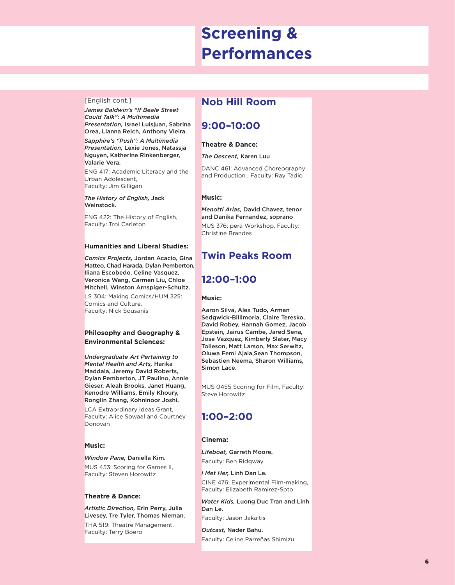# **Screening & Performances**

### [English cont.]

*James Baldwin's "If Beale Street Could Talk": A Multimedia Presentation,* Israel Luisjuan, Sabrina Orea, Lianna Reich, Anthony Vieira.

*Sapphire's "Push": A Multimedia Presentation,* Lexie Jones, Natassja Nguyen, Katherine Rinkenberger, Valarie Vera.

ENG 417: Academic Literacy and the Urban Adolescent, Faculty: Jim Gilligan

*The History of English,* Jack Weinstock.

ENG 422: The History of English, Faculty: Troi Carleton

### **Humanities and Liberal Studies:**

*Comics Projects,* Jordan Acacio, Gina Matteo, Chad Harada, Dylan Pemberton, Iliana Escobedo, Celine Vasquez, Veronica Wang, Carmen Liu, Chloe Mitchell, Winston Arnspiger-Schultz.

LS 304: Making Comics/HUM 325: Comics and Culture, Faculty: Nick Sousanis

### **Philosophy and Geography & Environmental Sciences:**

*Undergraduate Art Pertaining to Mental Health and Arts,* Harika Maddala, Jeremy David Roberts, Dylan Pemberton, JT Paulino, Annie Gieser, Aleah Brooks, Janet Huang, Kenodre Williams, Emily Khoury, Ronglin Zhang, Kohninoor Joshi.

LCA Extraordinary Ideas Grant, Faculty: Alice Sowaal and Courtney Donovan

### **Music:**

#### *Window Pane,* Daniella Kim.

MUS 453: Scoring for Games II, Faculty: Steven Horowitz

### **Theatre & Dance:**

*Artistic Direction,* Erin Perry, Julia Livesey, Tre Tyler, Thomas Nieman. THA 519: Theatre Management. Faculty: Terry Boero

### **Nob Hill Room**

### **9:00–10:00**

### **Theatre & Dance:**

*The Descent,* Karen Luu

DANC 461: Advanced Choreography and Production , Faculty: Ray Tadio

### **Music:**

#### *Menotti Arias,* David Chavez, tenor and Danika Fernandez, soprano

MUS 376: pera Workshop, Faculty: Christine Brandes

### **Twin Peaks Room**

### **12:00–1:00**

### **Music:**

Aaron Silva, Alex Tudo, Arman Sedgwick-Billimoria, Claire Teresko, David Robey, Hannah Gomez, Jacob Epstein, Jairus Cambe, Jared Sena, Jose Vazquez, Kimberly Slater, Macy Tolleson, Matt Larson, Max Serwitz, Oluwa Femi Ajala,Sean Thompson, Sebastien Neema, Sharon Williams, Simon Lace.

MUS 0455 Scoring for Film, Faculty: Steve Horowitz

### **1:00–2:00**

### **Cinema:**

*Lifeboat,* Garreth Moore. Faculty: Ben Ridgway

*I Met Her,* Linh Dan Le. CINE 476: Experimental Film-making, Faculty: Elizabeth Ramirez-Soto

*Water Kids,* Luong Duc Tran and Linh Dan Le.

Faculty: Jason Jakaitis

*Outcast,* Nader Bahu. Faculty: Celine Parreñas Shimizu